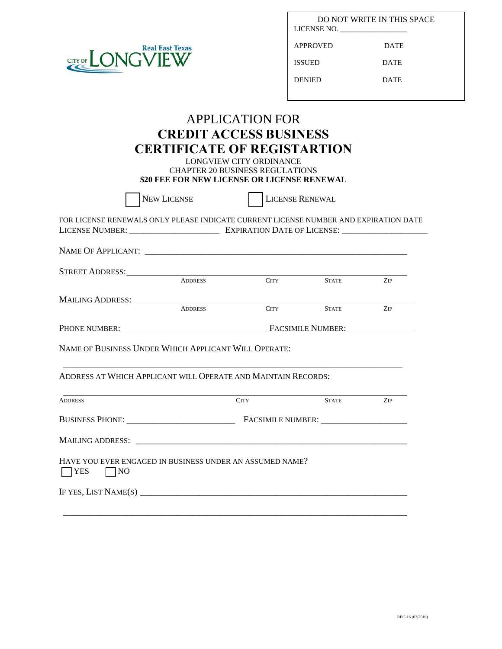

| LICENSE NO.   | DO NOT WRITE IN THIS SPACE |
|---------------|----------------------------|
| APPROVED      | DATE                       |
| ISSUED        | <b>DATE</b>                |
| <b>DENIED</b> | <b>DATE</b>                |
|               |                            |

## APPLICATION FOR **CREDIT ACCESS BUSINESS CERTIFICATE OF REGISTARTION**

LONGVIEW CITY ORDINANCE CHAPTER 20 BUSINESS REGULATIONS **\$20 FEE FOR NEW LICENSE OR LICENSE RENEWAL**

|                                  | <b>NEW LICENSE</b>                                                                   | <b>LICENSE RENEWAL</b>          |              |     |  |
|----------------------------------|--------------------------------------------------------------------------------------|---------------------------------|--------------|-----|--|
|                                  | FOR LICENSE RENEWALS ONLY PLEASE INDICATE CURRENT LICENSE NUMBER AND EXPIRATION DATE |                                 |              |     |  |
|                                  |                                                                                      |                                 |              |     |  |
|                                  |                                                                                      |                                 |              |     |  |
|                                  | <b>ADDRESS</b>                                                                       | <b>CITY</b>                     | <b>STATE</b> | ZIP |  |
|                                  |                                                                                      |                                 |              |     |  |
|                                  | <b>ADDRESS</b>                                                                       | <b>CITY</b>                     | <b>STATE</b> | ZIP |  |
|                                  |                                                                                      | PHONE NUMBER: FACSIMILE NUMBER: |              |     |  |
|                                  | ADDRESS AT WHICH APPLICANT WILL OPERATE AND MAINTAIN RECORDS:                        |                                 |              |     |  |
| <b>ADDRESS</b>                   |                                                                                      | <b>CITY</b>                     | <b>STATE</b> | ZIP |  |
|                                  |                                                                                      |                                 |              |     |  |
|                                  |                                                                                      |                                 |              |     |  |
| <b>YES</b><br>$\vert$ $\vert$ NO | HAVE YOU EVER ENGAGED IN BUSINESS UNDER AN ASSUMED NAME?                             |                                 |              |     |  |
|                                  | IF YES, LIST NAME(S) $\overline{\phantom{a}}$                                        |                                 |              |     |  |
|                                  |                                                                                      |                                 |              |     |  |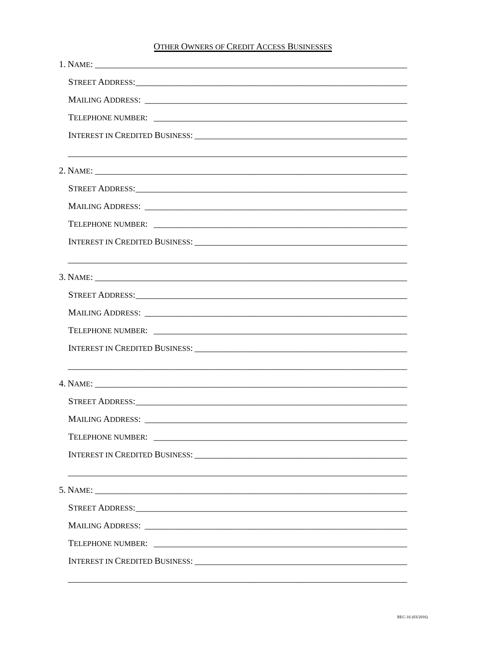## **OTHER OWNERS OF CREDIT ACCESS BUSINESSES**

| STREET ADDRESS: North American Communication of the Communication of the Communication of the Communication of                                                                                                                 |
|--------------------------------------------------------------------------------------------------------------------------------------------------------------------------------------------------------------------------------|
|                                                                                                                                                                                                                                |
|                                                                                                                                                                                                                                |
|                                                                                                                                                                                                                                |
|                                                                                                                                                                                                                                |
|                                                                                                                                                                                                                                |
| STREET ADDRESS: New York Street ADDRESS:                                                                                                                                                                                       |
|                                                                                                                                                                                                                                |
|                                                                                                                                                                                                                                |
|                                                                                                                                                                                                                                |
|                                                                                                                                                                                                                                |
|                                                                                                                                                                                                                                |
| STREET ADDRESS: New York Contract the Contract of the Contract of The Contract of The Contract of The Contract of The Contract of The Contract of The Contract of The Contract of The Contract of The Contract of The Contract |
|                                                                                                                                                                                                                                |
|                                                                                                                                                                                                                                |
|                                                                                                                                                                                                                                |
|                                                                                                                                                                                                                                |
|                                                                                                                                                                                                                                |
|                                                                                                                                                                                                                                |
|                                                                                                                                                                                                                                |
|                                                                                                                                                                                                                                |
|                                                                                                                                                                                                                                |
|                                                                                                                                                                                                                                |